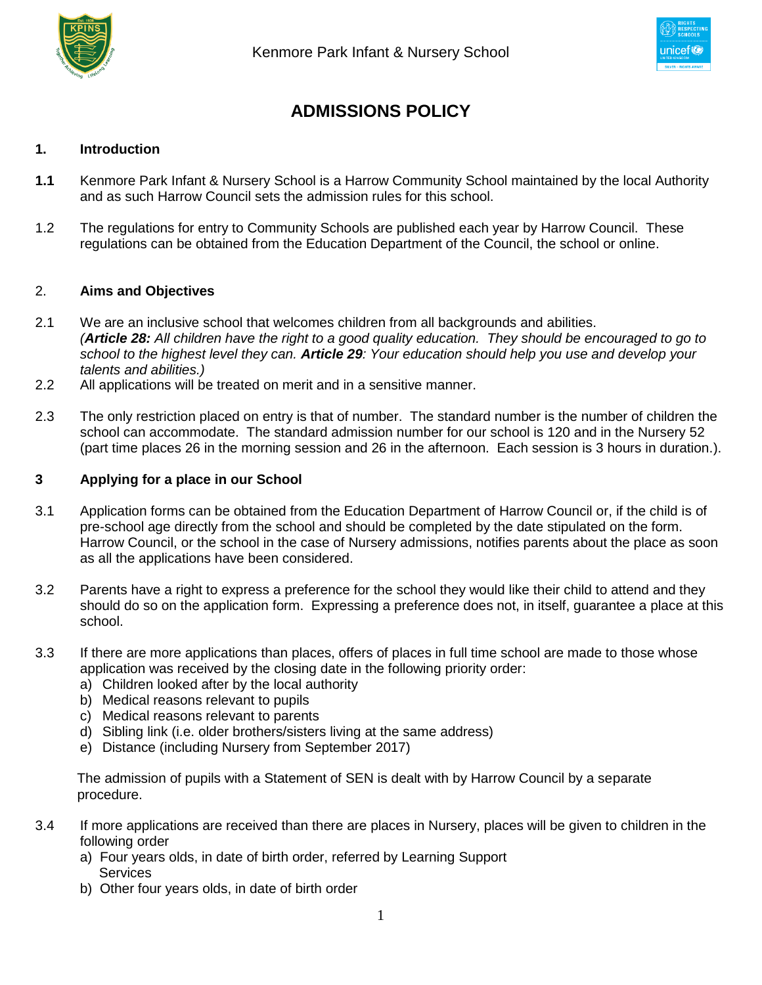



# **ADMISSIONS POLICY**

### **1. Introduction**

- **1.1** Kenmore Park Infant & Nursery School is a Harrow Community School maintained by the local Authority and as such Harrow Council sets the admission rules for this school.
- 1.2 The regulations for entry to Community Schools are published each year by Harrow Council. These regulations can be obtained from the Education Department of the Council, the school or online.

#### 2. **Aims and Objectives**

- 2.1 We are an inclusive school that welcomes children from all backgrounds and abilities. *(Article 28: All children have the right to a good quality education. They should be encouraged to go to school to the highest level they can. Article 29: Your education should help you use and develop your talents and abilities.)*
- 2.2 All applications will be treated on merit and in a sensitive manner.
- 2.3 The only restriction placed on entry is that of number. The standard number is the number of children the school can accommodate. The standard admission number for our school is 120 and in the Nursery 52 (part time places 26 in the morning session and 26 in the afternoon. Each session is 3 hours in duration.).

#### **3 Applying for a place in our School**

- 3.1 Application forms can be obtained from the Education Department of Harrow Council or, if the child is of pre-school age directly from the school and should be completed by the date stipulated on the form. Harrow Council, or the school in the case of Nursery admissions, notifies parents about the place as soon as all the applications have been considered.
- 3.2 Parents have a right to express a preference for the school they would like their child to attend and they should do so on the application form. Expressing a preference does not, in itself, guarantee a place at this school.
- 3.3 If there are more applications than places, offers of places in full time school are made to those whose application was received by the closing date in the following priority order:
	- a) Children looked after by the local authority
	- b) Medical reasons relevant to pupils
	- c) Medical reasons relevant to parents
	- d) Sibling link (i.e. older brothers/sisters living at the same address)
	- e) Distance (including Nursery from September 2017)

 The admission of pupils with a Statement of SEN is dealt with by Harrow Council by a separate procedure.

- 3.4 If more applications are received than there are places in Nursery, places will be given to children in the following order
	- a) Four years olds, in date of birth order, referred by Learning Support **Services**
	- b) Other four years olds, in date of birth order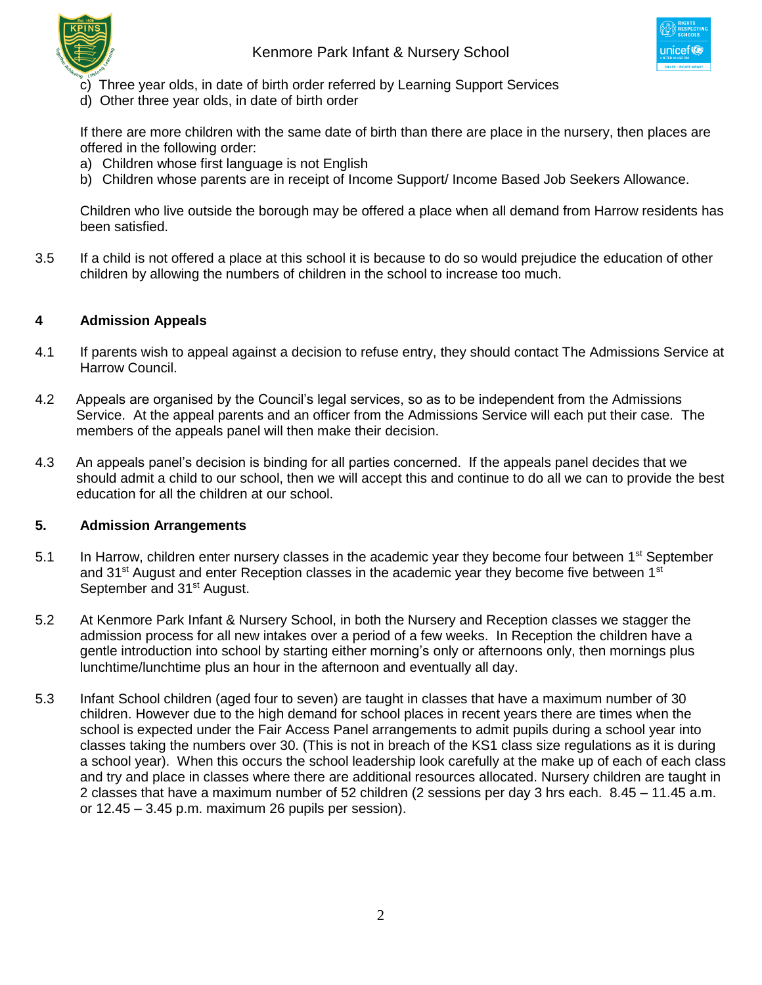



- c) Three year olds, in date of birth order referred by Learning Support Services
- d) Other three year olds, in date of birth order

If there are more children with the same date of birth than there are place in the nursery, then places are offered in the following order:

- a) Children whose first language is not English
- b) Children whose parents are in receipt of Income Support/ Income Based Job Seekers Allowance.

Children who live outside the borough may be offered a place when all demand from Harrow residents has been satisfied.

3.5 If a child is not offered a place at this school it is because to do so would prejudice the education of other children by allowing the numbers of children in the school to increase too much.

## **4 Admission Appeals**

- 4.1 If parents wish to appeal against a decision to refuse entry, they should contact The Admissions Service at Harrow Council.
- 4.2 Appeals are organised by the Council's legal services, so as to be independent from the Admissions Service. At the appeal parents and an officer from the Admissions Service will each put their case. The members of the appeals panel will then make their decision.
- 4.3 An appeals panel's decision is binding for all parties concerned. If the appeals panel decides that we should admit a child to our school, then we will accept this and continue to do all we can to provide the best education for all the children at our school.

## **5. Admission Arrangements**

- 5.1 In Harrow, children enter nursery classes in the academic year they become four between 1<sup>st</sup> September and  $31<sup>st</sup>$  August and enter Reception classes in the academic year they become five between  $1<sup>st</sup>$ September and 31<sup>st</sup> August.
- 5.2 At Kenmore Park Infant & Nursery School, in both the Nursery and Reception classes we stagger the admission process for all new intakes over a period of a few weeks. In Reception the children have a gentle introduction into school by starting either morning's only or afternoons only, then mornings plus lunchtime/lunchtime plus an hour in the afternoon and eventually all day.
- 5.3 Infant School children (aged four to seven) are taught in classes that have a maximum number of 30 children. However due to the high demand for school places in recent years there are times when the school is expected under the Fair Access Panel arrangements to admit pupils during a school year into classes taking the numbers over 30. (This is not in breach of the KS1 class size regulations as it is during a school year). When this occurs the school leadership look carefully at the make up of each of each class and try and place in classes where there are additional resources allocated. Nursery children are taught in 2 classes that have a maximum number of 52 children (2 sessions per day 3 hrs each. 8.45 – 11.45 a.m. or 12.45 – 3.45 p.m. maximum 26 pupils per session).